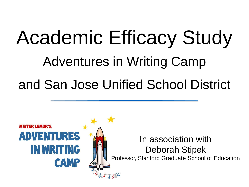## Academic Efficacy Study Adventures in Writing Camp and San Jose Unified School District

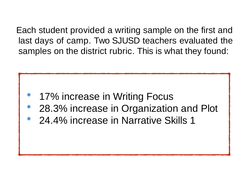Each student provided a writing sample on the first and last days of camp. Two SJUSD teachers evaluated the samples on the district rubric. This is what they found:

- 17% increase in Writing Focus
- 28.3% increase in Organization and Plot
- \* 24.4% increase in Narrative Skills 1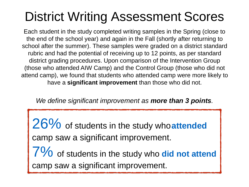## District Writing Assessment Scores

Each student in the study completed writing samples in the Spring (close to the end of the school year) and again in the Fall (shortly after returning to school after the summer). These samples were graded on a district standard rubric and had the potential of receiving up to 12 points, as per standard district grading procedures. Upon comparison of the Intervention Group (those who attended AIW Camp) and the Control Group (those who did not attend camp), we found that students who attended camp were more likely to have a **significant improvement** than those who did not.

*We define significant improvement as more than 3 points.*

26% of students in the study who**attended** camp saw a significant improvement. 7% of students in the study who **did not attend** camp saw a significant improvement.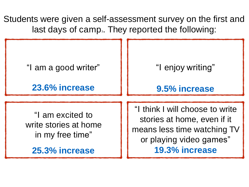Students were given a self-assessment survey on the first and last days of camp<sub>3</sub>. They reported the following:

| "I am a good writer"                                                            | "I enjoy writing"                                                                                                                          |
|---------------------------------------------------------------------------------|--------------------------------------------------------------------------------------------------------------------------------------------|
| 23.6% increase                                                                  | 9.5% increase                                                                                                                              |
| "I am excited to<br>write stories at home<br>in my free time"<br>25.3% increase | "I think I will choose to write<br>stories at home, even if it<br>means less time watching TV<br>or playing video games"<br>19.3% increase |